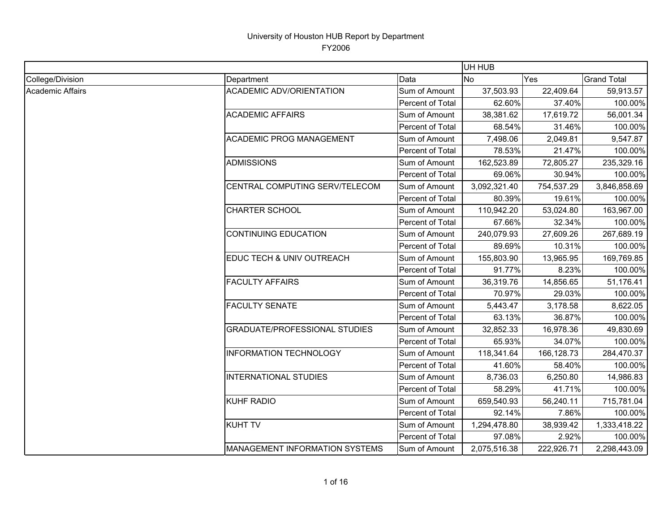|                  |                                       |                  | UH HUB       |            |                    |
|------------------|---------------------------------------|------------------|--------------|------------|--------------------|
| College/Division | Department                            | Data             | No.          | Yes        | <b>Grand Total</b> |
| Academic Affairs | <b>ACADEMIC ADV/ORIENTATION</b>       | Sum of Amount    | 37,503.93    | 22,409.64  | 59,913.57          |
|                  |                                       | Percent of Total | 62.60%       | 37.40%     | 100.00%            |
|                  | <b>ACADEMIC AFFAIRS</b>               | Sum of Amount    | 38,381.62    | 17,619.72  | 56,001.34          |
|                  |                                       | Percent of Total | 68.54%       | 31.46%     | 100.00%            |
|                  | <b>ACADEMIC PROG MANAGEMENT</b>       | Sum of Amount    | 7,498.06     | 2,049.81   | 9,547.87           |
|                  |                                       | Percent of Total | 78.53%       | 21.47%     | 100.00%            |
|                  | <b>ADMISSIONS</b>                     | Sum of Amount    | 162,523.89   | 72,805.27  | 235,329.16         |
|                  |                                       | Percent of Total | 69.06%       | 30.94%     | 100.00%            |
|                  | CENTRAL COMPUTING SERV/TELECOM        | Sum of Amount    | 3,092,321.40 | 754,537.29 | 3,846,858.69       |
|                  |                                       | Percent of Total | 80.39%       | 19.61%     | 100.00%            |
|                  | <b>CHARTER SCHOOL</b>                 | Sum of Amount    | 110,942.20   | 53,024.80  | 163,967.00         |
|                  |                                       | Percent of Total | 67.66%       | 32.34%     | 100.00%            |
|                  | <b>CONTINUING EDUCATION</b>           | Sum of Amount    | 240,079.93   | 27,609.26  | 267,689.19         |
|                  |                                       | Percent of Total | 89.69%       | 10.31%     | 100.00%            |
|                  | EDUC TECH & UNIV OUTREACH             | Sum of Amount    | 155,803.90   | 13,965.95  | 169,769.85         |
|                  |                                       | Percent of Total | 91.77%       | 8.23%      | 100.00%            |
|                  | <b>FACULTY AFFAIRS</b>                | Sum of Amount    | 36,319.76    | 14,856.65  | 51,176.41          |
|                  |                                       | Percent of Total | 70.97%       | 29.03%     | 100.00%            |
|                  | <b>FACULTY SENATE</b>                 | Sum of Amount    | 5,443.47     | 3,178.58   | 8,622.05           |
|                  |                                       | Percent of Total | 63.13%       | 36.87%     | 100.00%            |
|                  | <b>GRADUATE/PROFESSIONAL STUDIES</b>  | Sum of Amount    | 32,852.33    | 16,978.36  | 49,830.69          |
|                  |                                       | Percent of Total | 65.93%       | 34.07%     | 100.00%            |
|                  | <b>INFORMATION TECHNOLOGY</b>         | Sum of Amount    | 118,341.64   | 166,128.73 | 284,470.37         |
|                  |                                       | Percent of Total | 41.60%       | 58.40%     | 100.00%            |
|                  | <b>INTERNATIONAL STUDIES</b>          | Sum of Amount    | 8,736.03     | 6,250.80   | 14,986.83          |
|                  |                                       | Percent of Total | 58.29%       | 41.71%     | 100.00%            |
|                  | <b>KUHF RADIO</b>                     | Sum of Amount    | 659,540.93   | 56,240.11  | 715,781.04         |
|                  |                                       | Percent of Total | 92.14%       | 7.86%      | 100.00%            |
|                  | <b>KUHT TV</b>                        | Sum of Amount    | 1,294,478.80 | 38,939.42  | 1,333,418.22       |
|                  |                                       | Percent of Total | 97.08%       | 2.92%      | 100.00%            |
|                  | <b>MANAGEMENT INFORMATION SYSTEMS</b> | Sum of Amount    | 2,075,516.38 | 222,926.71 | 2,298,443.09       |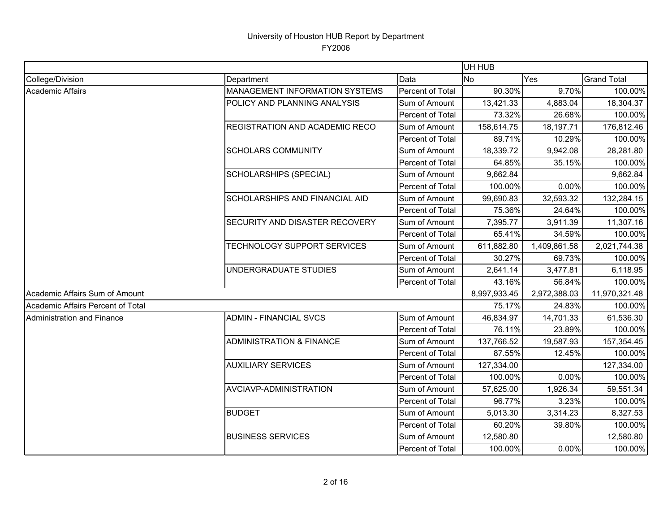|                                   |                                       |                  | UH HUB       |              |                    |
|-----------------------------------|---------------------------------------|------------------|--------------|--------------|--------------------|
| College/Division                  | Department                            | Data             | <b>No</b>    | Yes          | <b>Grand Total</b> |
| <b>Academic Affairs</b>           | <b>MANAGEMENT INFORMATION SYSTEMS</b> | Percent of Total | 90.30%       | 9.70%        | 100.00%            |
|                                   | POLICY AND PLANNING ANALYSIS          | Sum of Amount    | 13,421.33    | 4,883.04     | 18,304.37          |
|                                   |                                       | Percent of Total | 73.32%       | 26.68%       | 100.00%            |
|                                   | REGISTRATION AND ACADEMIC RECO        | Sum of Amount    | 158,614.75   | 18,197.71    | 176,812.46         |
|                                   |                                       | Percent of Total | 89.71%       | 10.29%       | 100.00%            |
|                                   | <b>SCHOLARS COMMUNITY</b>             | Sum of Amount    | 18,339.72    | 9,942.08     | 28,281.80          |
|                                   |                                       | Percent of Total | 64.85%       | 35.15%       | 100.00%            |
|                                   | <b>SCHOLARSHIPS (SPECIAL)</b>         | Sum of Amount    | 9,662.84     |              | 9,662.84           |
|                                   |                                       | Percent of Total | 100.00%      | 0.00%        | 100.00%            |
|                                   | SCHOLARSHIPS AND FINANCIAL AID        | Sum of Amount    | 99,690.83    | 32,593.32    | 132,284.15         |
|                                   |                                       | Percent of Total | 75.36%       | 24.64%       | 100.00%            |
|                                   | SECURITY AND DISASTER RECOVERY        | Sum of Amount    | 7,395.77     | 3,911.39     | 11,307.16          |
|                                   |                                       | Percent of Total | 65.41%       | 34.59%       | 100.00%            |
|                                   | TECHNOLOGY SUPPORT SERVICES           | Sum of Amount    | 611,882.80   | 1,409,861.58 | 2,021,744.38       |
|                                   |                                       | Percent of Total | 30.27%       | 69.73%       | 100.00%            |
|                                   | UNDERGRADUATE STUDIES                 | Sum of Amount    | 2,641.14     | 3,477.81     | 6,118.95           |
|                                   |                                       | Percent of Total | 43.16%       | 56.84%       | 100.00%            |
| Academic Affairs Sum of Amount    |                                       |                  | 8,997,933.45 | 2,972,388.03 | 11,970,321.48      |
| Academic Affairs Percent of Total |                                       |                  | 75.17%       | 24.83%       | 100.00%            |
| Administration and Finance        | <b>ADMIN - FINANCIAL SVCS</b>         | Sum of Amount    | 46,834.97    | 14,701.33    | 61,536.30          |
|                                   |                                       | Percent of Total | 76.11%       | 23.89%       | 100.00%            |
|                                   | <b>ADMINISTRATION &amp; FINANCE</b>   | Sum of Amount    | 137,766.52   | 19,587.93    | 157,354.45         |
|                                   |                                       | Percent of Total | 87.55%       | 12.45%       | 100.00%            |
|                                   | <b>AUXILIARY SERVICES</b>             | Sum of Amount    | 127,334.00   |              | 127,334.00         |
|                                   |                                       | Percent of Total | 100.00%      | 0.00%        | 100.00%            |
|                                   | AVCIAVP-ADMINISTRATION                | Sum of Amount    | 57,625.00    | 1,926.34     | 59,551.34          |
|                                   |                                       | Percent of Total | 96.77%       | 3.23%        | 100.00%            |
|                                   | <b>BUDGET</b>                         | Sum of Amount    | 5,013.30     | 3,314.23     | 8,327.53           |
|                                   |                                       | Percent of Total | 60.20%       | 39.80%       | 100.00%            |
|                                   | <b>BUSINESS SERVICES</b>              | Sum of Amount    | 12,580.80    |              | 12,580.80          |
|                                   |                                       | Percent of Total | 100.00%      | 0.00%        | 100.00%            |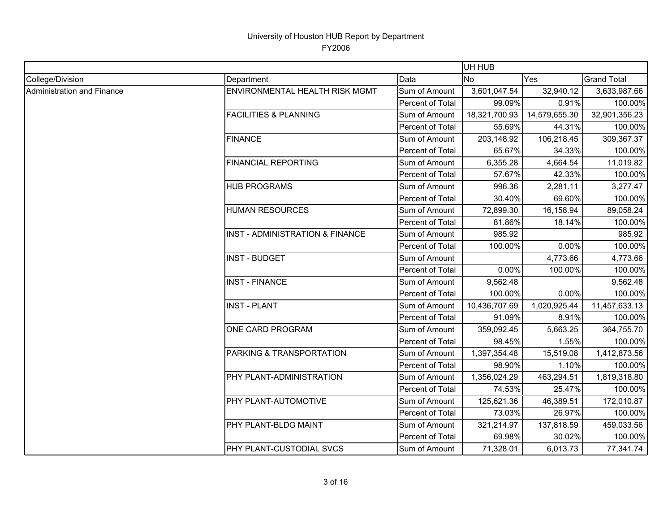|                            |                                  |                  | UH HUB        |               |                    |  |
|----------------------------|----------------------------------|------------------|---------------|---------------|--------------------|--|
| College/Division           | Department                       | Data             | <b>No</b>     | Yes           | <b>Grand Total</b> |  |
| Administration and Finance | ENVIRONMENTAL HEALTH RISK MGMT   | Sum of Amount    | 3,601,047.54  | 32,940.12     | 3,633,987.66       |  |
|                            |                                  | Percent of Total | 99.09%        | 0.91%         | 100.00%            |  |
|                            | <b>FACILITIES &amp; PLANNING</b> | Sum of Amount    | 18,321,700.93 | 14,579,655.30 | 32,901,356.23      |  |
|                            |                                  | Percent of Total | 55.69%        | 44.31%        | 100.00%            |  |
|                            | <b>FINANCE</b>                   | Sum of Amount    | 203,148.92    | 106,218.45    | 309,367.37         |  |
|                            |                                  | Percent of Total | 65.67%        | 34.33%        | 100.00%            |  |
|                            | <b>FINANCIAL REPORTING</b>       | Sum of Amount    | 6,355.28      | 4,664.54      | 11,019.82          |  |
|                            |                                  | Percent of Total | 57.67%        | 42.33%        | 100.00%            |  |
|                            | <b>HUB PROGRAMS</b>              | Sum of Amount    | 996.36        | 2,281.11      | 3,277.47           |  |
|                            |                                  | Percent of Total | 30.40%        | 69.60%        | 100.00%            |  |
|                            | <b>HUMAN RESOURCES</b>           | Sum of Amount    | 72,899.30     | 16,158.94     | 89,058.24          |  |
|                            |                                  | Percent of Total | 81.86%        | 18.14%        | 100.00%            |  |
|                            | INST - ADMINISTRATION & FINANCE  | Sum of Amount    | 985.92        |               | 985.92             |  |
|                            |                                  | Percent of Total | 100.00%       | 0.00%         | 100.00%            |  |
|                            | <b>INST - BUDGET</b>             | Sum of Amount    |               | 4,773.66      | 4,773.66           |  |
|                            |                                  | Percent of Total | 0.00%         | 100.00%       | 100.00%            |  |
|                            | <b>INST - FINANCE</b>            | Sum of Amount    | 9,562.48      |               | 9,562.48           |  |
|                            |                                  | Percent of Total | 100.00%       | 0.00%         | 100.00%            |  |
|                            | <b>INST - PLANT</b>              | Sum of Amount    | 10,436,707.69 | 1,020,925.44  | 11,457,633.13      |  |
|                            |                                  | Percent of Total | 91.09%        | 8.91%         | 100.00%            |  |
|                            | ONE CARD PROGRAM                 | Sum of Amount    | 359,092.45    | 5,663.25      | 364,755.70         |  |
|                            |                                  | Percent of Total | 98.45%        | 1.55%         | 100.00%            |  |
|                            | PARKING & TRANSPORTATION         | Sum of Amount    | 1,397,354.48  | 15,519.08     | 1,412,873.56       |  |
|                            |                                  | Percent of Total | 98.90%        | 1.10%         | 100.00%            |  |
|                            | PHY PLANT-ADMINISTRATION         | Sum of Amount    | 1,356,024.29  | 463,294.51    | 1,819,318.80       |  |
|                            |                                  | Percent of Total | 74.53%        | 25.47%        | 100.00%            |  |
|                            | PHY PLANT-AUTOMOTIVE             | Sum of Amount    | 125,621.36    | 46,389.51     | 172,010.87         |  |
|                            |                                  | Percent of Total | 73.03%        | 26.97%        | 100.00%            |  |
|                            | PHY PLANT-BLDG MAINT             | Sum of Amount    | 321,214.97    | 137,818.59    | 459,033.56         |  |
|                            |                                  | Percent of Total | 69.98%        | 30.02%        | 100.00%            |  |
|                            | PHY PLANT-CUSTODIAL SVCS         | Sum of Amount    | 71,328.01     | 6,013.73      | 77,341.74          |  |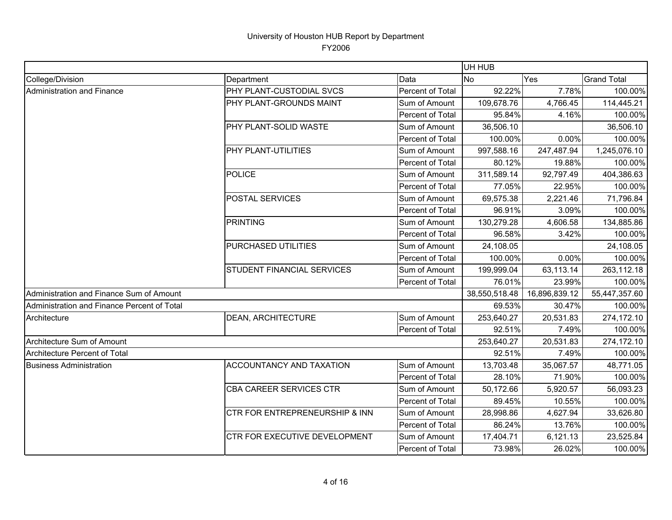|                                             |                                   |                  | UH HUB        |               |                    |
|---------------------------------------------|-----------------------------------|------------------|---------------|---------------|--------------------|
| College/Division                            | Department                        | Data             | <b>No</b>     | Yes           | <b>Grand Total</b> |
| Administration and Finance                  | <b>PHY PLANT-CUSTODIAL SVCS</b>   | Percent of Total | 92.22%        | 7.78%         | 100.00%            |
|                                             | PHY PLANT-GROUNDS MAINT           | Sum of Amount    | 109,678.76    | 4,766.45      | 114,445.21         |
|                                             |                                   | Percent of Total | 95.84%        | 4.16%         | 100.00%            |
|                                             | PHY PLANT-SOLID WASTE             | Sum of Amount    | 36,506.10     |               | 36,506.10          |
|                                             |                                   | Percent of Total | 100.00%       | 0.00%         | 100.00%            |
|                                             | PHY PLANT-UTILITIES               | Sum of Amount    | 997,588.16    | 247,487.94    | 1,245,076.10       |
|                                             |                                   | Percent of Total | 80.12%        | 19.88%        | 100.00%            |
|                                             | <b>POLICE</b>                     | Sum of Amount    | 311,589.14    | 92,797.49     | 404,386.63         |
|                                             |                                   | Percent of Total | 77.05%        | 22.95%        | 100.00%            |
|                                             | POSTAL SERVICES                   | Sum of Amount    | 69,575.38     | 2,221.46      | 71,796.84          |
|                                             |                                   | Percent of Total | 96.91%        | 3.09%         | 100.00%            |
|                                             | <b>PRINTING</b>                   | Sum of Amount    | 130,279.28    | 4,606.58      | 134,885.86         |
|                                             |                                   | Percent of Total | 96.58%        | 3.42%         | 100.00%            |
|                                             | PURCHASED UTILITIES               | Sum of Amount    | 24,108.05     |               | 24,108.05          |
|                                             |                                   | Percent of Total | 100.00%       | 0.00%         | 100.00%            |
|                                             | <b>STUDENT FINANCIAL SERVICES</b> | Sum of Amount    | 199,999.04    | 63,113.14     | 263,112.18         |
|                                             |                                   | Percent of Total | 76.01%        | 23.99%        | 100.00%            |
| Administration and Finance Sum of Amount    |                                   |                  | 38,550,518.48 | 16,896,839.12 | 55,447,357.60      |
| Administration and Finance Percent of Total |                                   |                  | 69.53%        | 30.47%        | 100.00%            |
| Architecture                                | <b>DEAN, ARCHITECTURE</b>         | Sum of Amount    | 253,640.27    | 20,531.83     | 274,172.10         |
|                                             |                                   | Percent of Total | 92.51%        | 7.49%         | 100.00%            |
| Architecture Sum of Amount                  |                                   |                  | 253,640.27    | 20,531.83     | 274,172.10         |
| Architecture Percent of Total               |                                   |                  | 92.51%        | 7.49%         | 100.00%            |
| <b>Business Administration</b>              | <b>ACCOUNTANCY AND TAXATION</b>   | Sum of Amount    | 13,703.48     | 35,067.57     | 48,771.05          |
|                                             |                                   | Percent of Total | 28.10%        | 71.90%        | 100.00%            |
|                                             | <b>CBA CAREER SERVICES CTR</b>    | Sum of Amount    | 50,172.66     | 5,920.57      | 56,093.23          |
|                                             |                                   | Percent of Total | 89.45%        | 10.55%        | 100.00%            |
|                                             | CTR FOR ENTREPRENEURSHIP & INN    | Sum of Amount    | 28,998.86     | 4,627.94      | 33,626.80          |
|                                             |                                   | Percent of Total | 86.24%        | 13.76%        | 100.00%            |
|                                             | CTR FOR EXECUTIVE DEVELOPMENT     | Sum of Amount    | 17,404.71     | 6,121.13      | 23,525.84          |
|                                             |                                   | Percent of Total | 73.98%        | 26.02%        | 100.00%            |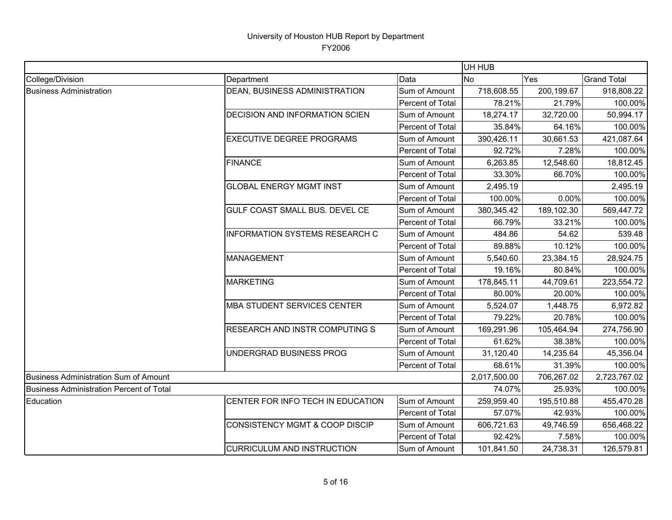|                                                 |                                           |                  | UH HUB       |            |                    |
|-------------------------------------------------|-------------------------------------------|------------------|--------------|------------|--------------------|
| College/Division                                | Department                                | Data             | <b>No</b>    | Yes        | <b>Grand Total</b> |
| <b>Business Administration</b>                  | DEAN, BUSINESS ADMINISTRATION             | Sum of Amount    | 718,608.55   | 200,199.67 | 918,808.22         |
|                                                 |                                           | Percent of Total | 78.21%       | 21.79%     | 100.00%            |
|                                                 | DECISION AND INFORMATION SCIEN            | Sum of Amount    | 18,274.17    | 32,720.00  | 50,994.17          |
|                                                 |                                           | Percent of Total | 35.84%       | 64.16%     | 100.00%            |
|                                                 | <b>EXECUTIVE DEGREE PROGRAMS</b>          | Sum of Amount    | 390,426.11   | 30,661.53  | 421,087.64         |
|                                                 |                                           | Percent of Total | 92.72%       | 7.28%      | 100.00%            |
|                                                 | <b>FINANCE</b>                            | Sum of Amount    | 6,263.85     | 12,548.60  | 18,812.45          |
|                                                 |                                           | Percent of Total | 33.30%       | 66.70%     | 100.00%            |
|                                                 | <b>GLOBAL ENERGY MGMT INST</b>            | Sum of Amount    | 2,495.19     |            | 2,495.19           |
|                                                 |                                           | Percent of Total | 100.00%      | 0.00%      | 100.00%            |
|                                                 | GULF COAST SMALL BUS. DEVEL CE            | Sum of Amount    | 380,345.42   | 189,102.30 | 569,447.72         |
|                                                 |                                           | Percent of Total | 66.79%       | 33.21%     | 100.00%            |
|                                                 | <b>INFORMATION SYSTEMS RESEARCH C</b>     | Sum of Amount    | 484.86       | 54.62      | 539.48             |
|                                                 |                                           | Percent of Total | 89.88%       | 10.12%     | 100.00%            |
|                                                 | <b>MANAGEMENT</b>                         | Sum of Amount    | 5,540.60     | 23,384.15  | 28,924.75          |
|                                                 |                                           | Percent of Total | 19.16%       | 80.84%     | 100.00%            |
|                                                 | <b>MARKETING</b>                          | Sum of Amount    | 178,845.11   | 44,709.61  | 223,554.72         |
|                                                 |                                           | Percent of Total | 80.00%       | 20.00%     | 100.00%            |
|                                                 | <b>MBA STUDENT SERVICES CENTER</b>        | Sum of Amount    | 5,524.07     | 1,448.75   | 6,972.82           |
|                                                 |                                           | Percent of Total | 79.22%       | 20.78%     | 100.00%            |
|                                                 | RESEARCH AND INSTR COMPUTING S            | Sum of Amount    | 169,291.96   | 105,464.94 | 274,756.90         |
|                                                 |                                           | Percent of Total | 61.62%       | 38.38%     | 100.00%            |
|                                                 | UNDERGRAD BUSINESS PROG                   | Sum of Amount    | 31,120.40    | 14,235.64  | 45,356.04          |
|                                                 |                                           | Percent of Total | 68.61%       | 31.39%     | 100.00%            |
| <b>Business Administration Sum of Amount</b>    |                                           |                  | 2,017,500.00 | 706,267.02 | 2,723,767.02       |
| <b>Business Administration Percent of Total</b> |                                           |                  | 74.07%       | 25.93%     | 100.00%            |
| Education                                       | CENTER FOR INFO TECH IN EDUCATION         | Sum of Amount    | 259,959.40   | 195,510.88 | 455,470.28         |
|                                                 |                                           | Percent of Total | 57.07%       | 42.93%     | 100.00%            |
|                                                 | <b>CONSISTENCY MGMT &amp; COOP DISCIP</b> | Sum of Amount    | 606,721.63   | 49,746.59  | 656,468.22         |
|                                                 |                                           | Percent of Total | 92.42%       | 7.58%      | 100.00%            |
|                                                 | <b>CURRICULUM AND INSTRUCTION</b>         | Sum of Amount    | 101,841.50   | 24,738.31  | 126,579.81         |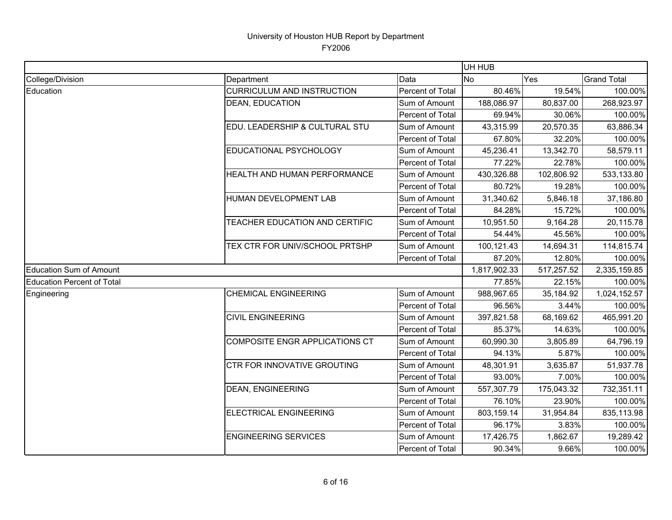|                            |                                    |                  | UH HUB       |            |                    |
|----------------------------|------------------------------------|------------------|--------------|------------|--------------------|
| College/Division           | Department                         | Data             | <b>No</b>    | Yes        | <b>Grand Total</b> |
| Education                  | <b>CURRICULUM AND INSTRUCTION</b>  | Percent of Total | 80.46%       | 19.54%     | 100.00%            |
|                            | <b>DEAN, EDUCATION</b>             | Sum of Amount    | 188,086.97   | 80,837.00  | 268,923.97         |
|                            |                                    | Percent of Total | 69.94%       | 30.06%     | 100.00%            |
|                            | EDU. LEADERSHIP & CULTURAL STU     | Sum of Amount    | 43,315.99    | 20,570.35  | 63,886.34          |
|                            |                                    | Percent of Total | 67.80%       | 32.20%     | 100.00%            |
|                            | EDUCATIONAL PSYCHOLOGY             | Sum of Amount    | 45,236.41    | 13,342.70  | 58,579.11          |
|                            |                                    | Percent of Total | 77.22%       | 22.78%     | 100.00%            |
|                            | HEALTH AND HUMAN PERFORMANCE       | Sum of Amount    | 430,326.88   | 102,806.92 | 533,133.80         |
|                            |                                    | Percent of Total | 80.72%       | 19.28%     | 100.00%            |
|                            | HUMAN DEVELOPMENT LAB              | Sum of Amount    | 31,340.62    | 5,846.18   | 37,186.80          |
|                            |                                    | Percent of Total | 84.28%       | 15.72%     | 100.00%            |
|                            | TEACHER EDUCATION AND CERTIFIC     | Sum of Amount    | 10,951.50    | 9,164.28   | 20,115.78          |
|                            |                                    | Percent of Total | 54.44%       | 45.56%     | 100.00%            |
|                            | TEX CTR FOR UNIV/SCHOOL PRTSHP     | Sum of Amount    | 100,121.43   | 14,694.31  | 114,815.74         |
|                            |                                    | Percent of Total | 87.20%       | 12.80%     | 100.00%            |
| Education Sum of Amount    |                                    |                  | 1,817,902.33 | 517,257.52 | 2,335,159.85       |
| Education Percent of Total |                                    |                  | 77.85%       | 22.15%     | 100.00%            |
| Engineering                | <b>CHEMICAL ENGINEERING</b>        | Sum of Amount    | 988,967.65   | 35,184.92  | 1,024,152.57       |
|                            |                                    | Percent of Total | 96.56%       | 3.44%      | 100.00%            |
|                            | <b>CIVIL ENGINEERING</b>           | Sum of Amount    | 397,821.58   | 68,169.62  | 465,991.20         |
|                            |                                    | Percent of Total | 85.37%       | 14.63%     | 100.00%            |
|                            | COMPOSITE ENGR APPLICATIONS CT     | Sum of Amount    | 60,990.30    | 3,805.89   | 64,796.19          |
|                            |                                    | Percent of Total | 94.13%       | 5.87%      | 100.00%            |
|                            | <b>CTR FOR INNOVATIVE GROUTING</b> | Sum of Amount    | 48,301.91    | 3,635.87   | 51,937.78          |
|                            |                                    | Percent of Total | 93.00%       | 7.00%      | 100.00%            |
|                            | <b>DEAN, ENGINEERING</b>           | Sum of Amount    | 557,307.79   | 175,043.32 | 732,351.11         |
|                            |                                    | Percent of Total | 76.10%       | 23.90%     | 100.00%            |
|                            | ELECTRICAL ENGINEERING             | Sum of Amount    | 803,159.14   | 31,954.84  | 835,113.98         |
|                            |                                    | Percent of Total | 96.17%       | 3.83%      | 100.00%            |
|                            | <b>ENGINEERING SERVICES</b>        | Sum of Amount    | 17,426.75    | 1,862.67   | 19,289.42          |
|                            |                                    | Percent of Total | 90.34%       | 9.66%      | 100.00%            |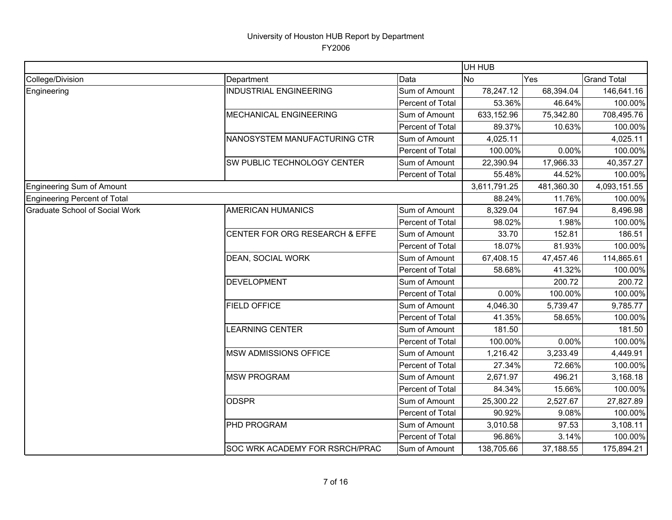|                                |                                |                  | UH HUB       |            |                    |
|--------------------------------|--------------------------------|------------------|--------------|------------|--------------------|
| College/Division               | Department                     | Data             | <b>No</b>    | Yes        | <b>Grand Total</b> |
| Engineering                    | <b>INDUSTRIAL ENGINEERING</b>  | Sum of Amount    | 78,247.12    | 68,394.04  | 146,641.16         |
|                                |                                | Percent of Total | 53.36%       | 46.64%     | 100.00%            |
|                                | MECHANICAL ENGINEERING         | Sum of Amount    | 633,152.96   | 75,342.80  | 708,495.76         |
|                                |                                | Percent of Total | 89.37%       | 10.63%     | 100.00%            |
|                                | NANOSYSTEM MANUFACTURING CTR   | Sum of Amount    | 4,025.11     |            | 4,025.11           |
|                                |                                | Percent of Total | 100.00%      | 0.00%      | 100.00%            |
|                                | SW PUBLIC TECHNOLOGY CENTER    | Sum of Amount    | 22,390.94    | 17,966.33  | 40,357.27          |
|                                |                                | Percent of Total | 55.48%       | 44.52%     | 100.00%            |
| Engineering Sum of Amount      |                                |                  | 3,611,791.25 | 481,360.30 | 4,093,151.55       |
| Engineering Percent of Total   |                                |                  | 88.24%       | 11.76%     | 100.00%            |
| Graduate School of Social Work | <b>AMERICAN HUMANICS</b>       | Sum of Amount    | 8,329.04     | 167.94     | 8,496.98           |
|                                |                                | Percent of Total | 98.02%       | 1.98%      | 100.00%            |
|                                | CENTER FOR ORG RESEARCH & EFFE | Sum of Amount    | 33.70        | 152.81     | 186.51             |
|                                |                                | Percent of Total | 18.07%       | 81.93%     | 100.00%            |
|                                | DEAN, SOCIAL WORK              | Sum of Amount    | 67,408.15    | 47,457.46  | 114,865.61         |
|                                |                                | Percent of Total | 58.68%       | 41.32%     | 100.00%            |
|                                | <b>DEVELOPMENT</b>             | Sum of Amount    |              | 200.72     | 200.72             |
|                                |                                | Percent of Total | 0.00%        | 100.00%    | 100.00%            |
|                                | <b>FIELD OFFICE</b>            | Sum of Amount    | 4,046.30     | 5,739.47   | 9,785.77           |
|                                |                                | Percent of Total | 41.35%       | 58.65%     | 100.00%            |
|                                | <b>LEARNING CENTER</b>         | Sum of Amount    | 181.50       |            | 181.50             |
|                                |                                | Percent of Total | 100.00%      | 0.00%      | 100.00%            |
|                                | MSW ADMISSIONS OFFICE          | Sum of Amount    | 1,216.42     | 3,233.49   | 4,449.91           |
|                                |                                | Percent of Total | 27.34%       | 72.66%     | 100.00%            |
|                                | <b>MSW PROGRAM</b>             | Sum of Amount    | 2,671.97     | 496.21     | 3,168.18           |
|                                |                                | Percent of Total | 84.34%       | 15.66%     | 100.00%            |
|                                | <b>ODSPR</b>                   | Sum of Amount    | 25,300.22    | 2,527.67   | 27,827.89          |
|                                |                                | Percent of Total | 90.92%       | 9.08%      | 100.00%            |
|                                | PHD PROGRAM                    | Sum of Amount    | 3,010.58     | 97.53      | 3,108.11           |
|                                |                                | Percent of Total | 96.86%       | 3.14%      | 100.00%            |
|                                | SOC WRK ACADEMY FOR RSRCH/PRAC | Sum of Amount    | 138,705.66   | 37,188.55  | 175,894.21         |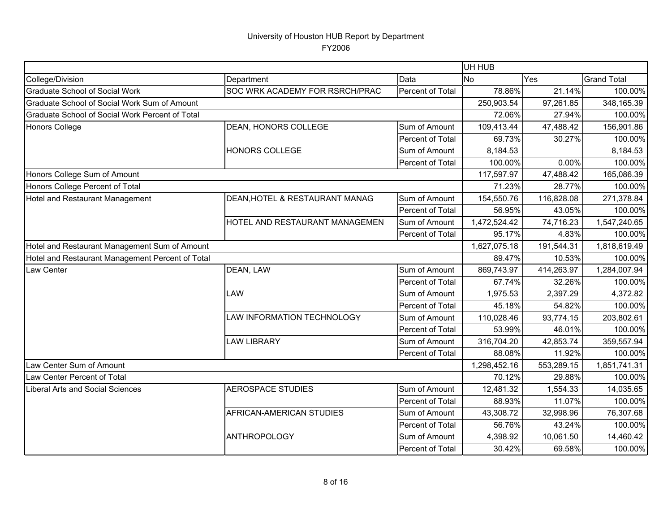|                                                  |                                       |                  | UH HUB       |            |                    |
|--------------------------------------------------|---------------------------------------|------------------|--------------|------------|--------------------|
| College/Division                                 | Department                            | Data             | <b>No</b>    | Yes        | <b>Grand Total</b> |
| <b>Graduate School of Social Work</b>            | <b>SOC WRK ACADEMY FOR RSRCH/PRAC</b> | Percent of Total | 78.86%       | 21.14%     | 100.00%            |
| Graduate School of Social Work Sum of Amount     |                                       |                  | 250,903.54   | 97,261.85  | 348,165.39         |
| Graduate School of Social Work Percent of Total  |                                       |                  | 72.06%       | 27.94%     | 100.00%            |
| Honors College                                   | DEAN, HONORS COLLEGE                  | Sum of Amount    | 109,413.44   | 47,488.42  | 156,901.86         |
|                                                  |                                       | Percent of Total | 69.73%       | 30.27%     | 100.00%            |
|                                                  | HONORS COLLEGE                        | Sum of Amount    | 8,184.53     |            | 8,184.53           |
|                                                  |                                       | Percent of Total | 100.00%      | 0.00%      | 100.00%            |
| Honors College Sum of Amount                     |                                       |                  | 117,597.97   | 47,488.42  | 165,086.39         |
| Honors College Percent of Total                  |                                       |                  | 71.23%       | 28.77%     | 100.00%            |
| Hotel and Restaurant Management                  | DEAN, HOTEL & RESTAURANT MANAG        | Sum of Amount    | 154,550.76   | 116,828.08 | 271,378.84         |
|                                                  |                                       | Percent of Total | 56.95%       | 43.05%     | 100.00%            |
|                                                  | HOTEL AND RESTAURANT MANAGEMEN        | Sum of Amount    | 1,472,524.42 | 74,716.23  | 1,547,240.65       |
|                                                  |                                       | Percent of Total | 95.17%       | 4.83%      | 100.00%            |
| Hotel and Restaurant Management Sum of Amount    |                                       |                  | 1,627,075.18 | 191,544.31 | 1,818,619.49       |
| Hotel and Restaurant Management Percent of Total |                                       |                  | 89.47%       | 10.53%     | 100.00%            |
| Law Center                                       | DEAN, LAW                             | Sum of Amount    | 869,743.97   | 414,263.97 | 1,284,007.94       |
|                                                  |                                       | Percent of Total | 67.74%       | 32.26%     | 100.00%            |
|                                                  | LAW                                   | Sum of Amount    | 1,975.53     | 2,397.29   | 4,372.82           |
|                                                  |                                       | Percent of Total | 45.18%       | 54.82%     | 100.00%            |
|                                                  | LAW INFORMATION TECHNOLOGY            | Sum of Amount    | 110,028.46   | 93,774.15  | 203,802.61         |
|                                                  |                                       | Percent of Total | 53.99%       | 46.01%     | 100.00%            |
|                                                  | <b>LAW LIBRARY</b>                    | Sum of Amount    | 316,704.20   | 42,853.74  | 359,557.94         |
|                                                  |                                       | Percent of Total | 88.08%       | 11.92%     | 100.00%            |
| Law Center Sum of Amount                         |                                       |                  | 1,298,452.16 | 553,289.15 | 1,851,741.31       |
| Law Center Percent of Total                      |                                       |                  | 70.12%       | 29.88%     | 100.00%            |
| <b>Liberal Arts and Social Sciences</b>          | <b>AEROSPACE STUDIES</b>              | Sum of Amount    | 12,481.32    | 1,554.33   | 14,035.65          |
|                                                  |                                       | Percent of Total | 88.93%       | 11.07%     | 100.00%            |
|                                                  | AFRICAN-AMERICAN STUDIES              | Sum of Amount    | 43,308.72    | 32,998.96  | 76,307.68          |
|                                                  |                                       | Percent of Total | 56.76%       | 43.24%     | 100.00%            |
|                                                  | <b>ANTHROPOLOGY</b>                   | Sum of Amount    | 4,398.92     | 10,061.50  | 14,460.42          |
|                                                  |                                       | Percent of Total | 30.42%       | 69.58%     | 100.00%            |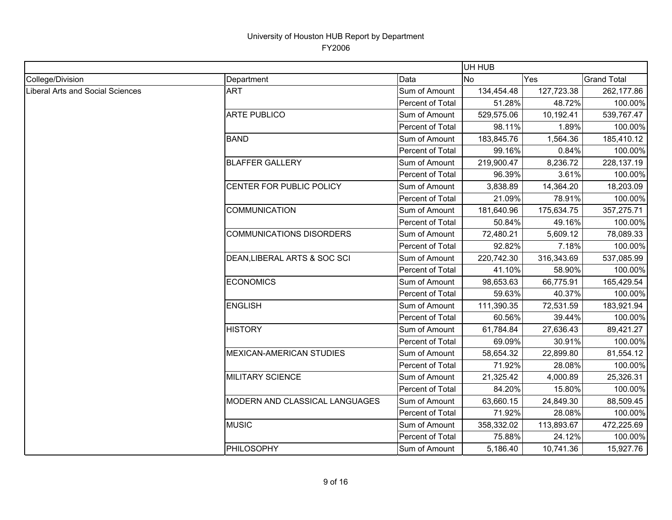|                                  |                                 |                  | UH HUB     |            |                    |
|----------------------------------|---------------------------------|------------------|------------|------------|--------------------|
| College/Division                 | Department                      | Data             | <b>No</b>  | Yes        | <b>Grand Total</b> |
| Liberal Arts and Social Sciences | <b>ART</b>                      | Sum of Amount    | 134,454.48 | 127,723.38 | 262,177.86         |
|                                  |                                 | Percent of Total | 51.28%     | 48.72%     | 100.00%            |
|                                  | <b>ARTE PUBLICO</b>             | Sum of Amount    | 529,575.06 | 10,192.41  | 539,767.47         |
|                                  |                                 | Percent of Total | 98.11%     | 1.89%      | 100.00%            |
|                                  | <b>BAND</b>                     | Sum of Amount    | 183,845.76 | 1,564.36   | 185,410.12         |
|                                  |                                 | Percent of Total | 99.16%     | 0.84%      | 100.00%            |
|                                  | <b>BLAFFER GALLERY</b>          | Sum of Amount    | 219,900.47 | 8,236.72   | 228,137.19         |
|                                  |                                 | Percent of Total | 96.39%     | 3.61%      | 100.00%            |
|                                  | CENTER FOR PUBLIC POLICY        | Sum of Amount    | 3,838.89   | 14,364.20  | 18,203.09          |
|                                  |                                 | Percent of Total | 21.09%     | 78.91%     | 100.00%            |
|                                  | <b>COMMUNICATION</b>            | Sum of Amount    | 181,640.96 | 175,634.75 | 357,275.71         |
|                                  |                                 | Percent of Total | 50.84%     | 49.16%     | 100.00%            |
|                                  | <b>COMMUNICATIONS DISORDERS</b> | Sum of Amount    | 72,480.21  | 5,609.12   | 78,089.33          |
|                                  |                                 | Percent of Total | 92.82%     | 7.18%      | 100.00%            |
|                                  | DEAN, LIBERAL ARTS & SOC SCI    | Sum of Amount    | 220,742.30 | 316,343.69 | 537,085.99         |
|                                  |                                 | Percent of Total | 41.10%     | 58.90%     | 100.00%            |
|                                  | <b>ECONOMICS</b>                | Sum of Amount    | 98,653.63  | 66,775.91  | 165,429.54         |
|                                  |                                 | Percent of Total | 59.63%     | 40.37%     | 100.00%            |
|                                  | <b>ENGLISH</b>                  | Sum of Amount    | 111,390.35 | 72,531.59  | 183,921.94         |
|                                  |                                 | Percent of Total | 60.56%     | 39.44%     | 100.00%            |
|                                  | <b>HISTORY</b>                  | Sum of Amount    | 61,784.84  | 27,636.43  | 89,421.27          |
|                                  |                                 | Percent of Total | 69.09%     | 30.91%     | 100.00%            |
|                                  | <b>MEXICAN-AMERICAN STUDIES</b> | Sum of Amount    | 58,654.32  | 22,899.80  | 81,554.12          |
|                                  |                                 | Percent of Total | 71.92%     | 28.08%     | 100.00%            |
|                                  | <b>MILITARY SCIENCE</b>         | Sum of Amount    | 21,325.42  | 4,000.89   | 25,326.31          |
|                                  |                                 | Percent of Total | 84.20%     | 15.80%     | 100.00%            |
|                                  | MODERN AND CLASSICAL LANGUAGES  | Sum of Amount    | 63,660.15  | 24,849.30  | 88,509.45          |
|                                  |                                 | Percent of Total | 71.92%     | 28.08%     | 100.00%            |
|                                  | <b>MUSIC</b>                    | Sum of Amount    | 358,332.02 | 113,893.67 | 472,225.69         |
|                                  |                                 | Percent of Total | 75.88%     | 24.12%     | 100.00%            |
|                                  | PHILOSOPHY                      | Sum of Amount    | 5,186.40   | 10,741.36  | 15,927.76          |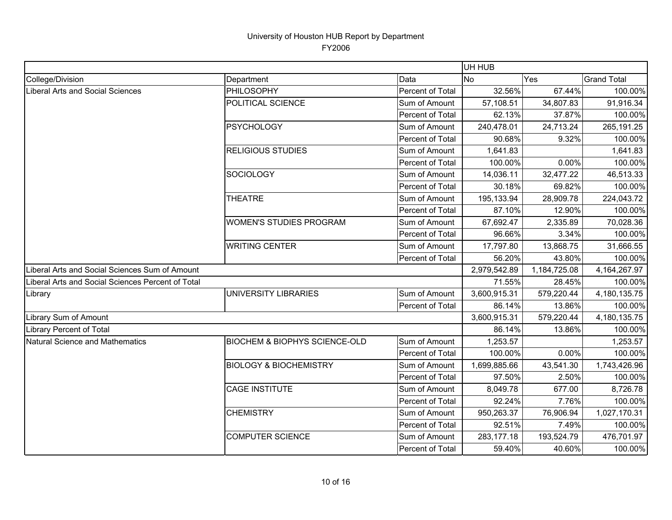|                                                   |                                          |                  | UH HUB       |              |                    |
|---------------------------------------------------|------------------------------------------|------------------|--------------|--------------|--------------------|
| College/Division                                  | Department                               | Data             | <b>No</b>    | Yes          | <b>Grand Total</b> |
| Liberal Arts and Social Sciences                  | PHILOSOPHY                               | Percent of Total | 32.56%       | 67.44%       | 100.00%            |
|                                                   | POLITICAL SCIENCE                        | Sum of Amount    | 57,108.51    | 34,807.83    | 91,916.34          |
|                                                   |                                          | Percent of Total | 62.13%       | 37.87%       | 100.00%            |
|                                                   | <b>PSYCHOLOGY</b>                        | Sum of Amount    | 240,478.01   | 24,713.24    | 265,191.25         |
|                                                   |                                          | Percent of Total | 90.68%       | 9.32%        | 100.00%            |
|                                                   | <b>RELIGIOUS STUDIES</b>                 | Sum of Amount    | 1,641.83     |              | 1,641.83           |
|                                                   |                                          | Percent of Total | 100.00%      | 0.00%        | 100.00%            |
|                                                   | <b>SOCIOLOGY</b>                         | Sum of Amount    | 14,036.11    | 32,477.22    | 46,513.33          |
|                                                   |                                          | Percent of Total | 30.18%       | 69.82%       | 100.00%            |
|                                                   | <b>THEATRE</b>                           | Sum of Amount    | 195,133.94   | 28,909.78    | 224,043.72         |
|                                                   |                                          | Percent of Total | 87.10%       | 12.90%       | 100.00%            |
|                                                   | <b>WOMEN'S STUDIES PROGRAM</b>           | Sum of Amount    | 67,692.47    | 2,335.89     | 70,028.36          |
|                                                   |                                          | Percent of Total | 96.66%       | 3.34%        | 100.00%            |
|                                                   | <b>WRITING CENTER</b>                    | Sum of Amount    | 17,797.80    | 13,868.75    | 31,666.55          |
|                                                   |                                          | Percent of Total | 56.20%       | 43.80%       | 100.00%            |
| Liberal Arts and Social Sciences Sum of Amount    |                                          |                  | 2,979,542.89 | 1,184,725.08 | 4, 164, 267. 97    |
| Liberal Arts and Social Sciences Percent of Total |                                          |                  | 71.55%       | 28.45%       | 100.00%            |
| Library                                           | UNIVERSITY LIBRARIES                     | Sum of Amount    | 3,600,915.31 | 579,220.44   | 4,180,135.75       |
|                                                   |                                          | Percent of Total | 86.14%       | 13.86%       | 100.00%            |
| Library Sum of Amount                             |                                          |                  | 3,600,915.31 | 579,220.44   | 4,180,135.75       |
| <b>Library Percent of Total</b>                   |                                          |                  | 86.14%       | 13.86%       | 100.00%            |
| Natural Science and Mathematics                   | <b>BIOCHEM &amp; BIOPHYS SCIENCE-OLD</b> | Sum of Amount    | 1,253.57     |              | 1,253.57           |
|                                                   |                                          | Percent of Total | 100.00%      | 0.00%        | 100.00%            |
|                                                   | <b>BIOLOGY &amp; BIOCHEMISTRY</b>        | Sum of Amount    | 1,699,885.66 | 43,541.30    | 1,743,426.96       |
|                                                   |                                          | Percent of Total | 97.50%       | 2.50%        | 100.00%            |
|                                                   | <b>CAGE INSTITUTE</b>                    | Sum of Amount    | 8,049.78     | 677.00       | 8,726.78           |
|                                                   |                                          | Percent of Total | 92.24%       | 7.76%        | 100.00%            |
|                                                   | <b>CHEMISTRY</b>                         | Sum of Amount    | 950,263.37   | 76,906.94    | 1,027,170.31       |
|                                                   |                                          | Percent of Total | 92.51%       | 7.49%        | 100.00%            |
|                                                   | <b>COMPUTER SCIENCE</b>                  | Sum of Amount    | 283,177.18   | 193,524.79   | 476,701.97         |
|                                                   |                                          | Percent of Total | 59.40%       | 40.60%       | 100.00%            |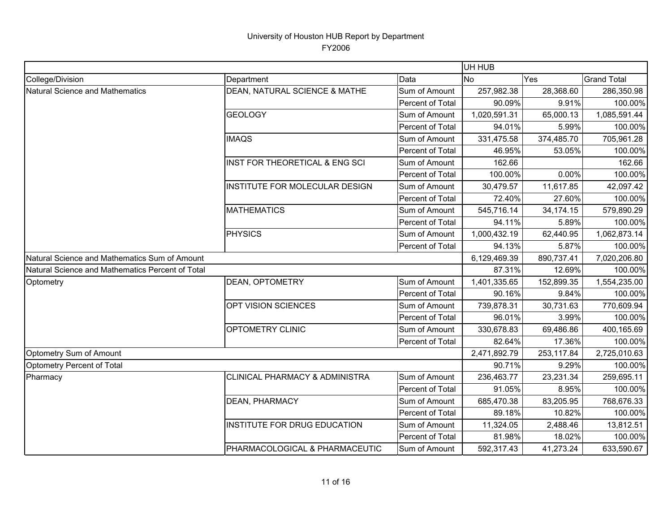|                                                  |                                           |                  | UH HUB       |             |                    |
|--------------------------------------------------|-------------------------------------------|------------------|--------------|-------------|--------------------|
| College/Division                                 | Department                                | Data             | <b>No</b>    | Yes         | <b>Grand Total</b> |
| <b>Natural Science and Mathematics</b>           | DEAN, NATURAL SCIENCE & MATHE             | Sum of Amount    | 257,982.38   | 28,368.60   | 286,350.98         |
|                                                  |                                           | Percent of Total | 90.09%       | 9.91%       | 100.00%            |
|                                                  | <b>GEOLOGY</b>                            | Sum of Amount    | 1,020,591.31 | 65,000.13   | 1,085,591.44       |
|                                                  |                                           | Percent of Total | 94.01%       | 5.99%       | 100.00%            |
|                                                  | <b>IMAQS</b>                              | Sum of Amount    | 331,475.58   | 374,485.70  | 705,961.28         |
|                                                  |                                           | Percent of Total | 46.95%       | 53.05%      | 100.00%            |
|                                                  | INST FOR THEORETICAL & ENG SCI            | Sum of Amount    | 162.66       |             | 162.66             |
|                                                  |                                           | Percent of Total | 100.00%      | 0.00%       | 100.00%            |
|                                                  | INSTITUTE FOR MOLECULAR DESIGN            | Sum of Amount    | 30,479.57    | 11,617.85   | 42,097.42          |
|                                                  |                                           | Percent of Total | 72.40%       | 27.60%      | 100.00%            |
|                                                  | <b>MATHEMATICS</b>                        | Sum of Amount    | 545,716.14   | 34, 174. 15 | 579,890.29         |
|                                                  |                                           | Percent of Total | 94.11%       | 5.89%       | 100.00%            |
|                                                  | <b>PHYSICS</b>                            | Sum of Amount    | 1,000,432.19 | 62,440.95   | 1,062,873.14       |
|                                                  |                                           | Percent of Total | 94.13%       | 5.87%       | 100.00%            |
| Natural Science and Mathematics Sum of Amount    |                                           |                  | 6,129,469.39 | 890,737.41  | 7,020,206.80       |
| Natural Science and Mathematics Percent of Total |                                           |                  | 87.31%       | 12.69%      | 100.00%            |
| Optometry                                        | <b>DEAN, OPTOMETRY</b>                    | Sum of Amount    | 1,401,335.65 | 152,899.35  | 1,554,235.00       |
|                                                  |                                           | Percent of Total | 90.16%       | 9.84%       | 100.00%            |
|                                                  | OPT VISION SCIENCES                       | Sum of Amount    | 739,878.31   | 30,731.63   | 770,609.94         |
|                                                  |                                           | Percent of Total | 96.01%       | 3.99%       | 100.00%            |
|                                                  | <b>OPTOMETRY CLINIC</b>                   | Sum of Amount    | 330,678.83   | 69,486.86   | 400,165.69         |
|                                                  |                                           | Percent of Total | 82.64%       | 17.36%      | 100.00%            |
| Optometry Sum of Amount                          |                                           |                  | 2,471,892.79 | 253,117.84  | 2,725,010.63       |
| Optometry Percent of Total                       |                                           |                  | 90.71%       | 9.29%       | 100.00%            |
| Pharmacy                                         | <b>CLINICAL PHARMACY &amp; ADMINISTRA</b> | Sum of Amount    | 236,463.77   | 23,231.34   | 259,695.11         |
|                                                  |                                           | Percent of Total | 91.05%       | 8.95%       | 100.00%            |
|                                                  | DEAN, PHARMACY                            | Sum of Amount    | 685,470.38   | 83,205.95   | 768,676.33         |
|                                                  |                                           | Percent of Total | 89.18%       | 10.82%      | 100.00%            |
|                                                  | INSTITUTE FOR DRUG EDUCATION              | Sum of Amount    | 11,324.05    | 2,488.46    | 13,812.51          |
|                                                  |                                           | Percent of Total | 81.98%       | 18.02%      | 100.00%            |
|                                                  | PHARMACOLOGICAL & PHARMACEUTIC            | Sum of Amount    | 592,317.43   | 41,273.24   | 633,590.67         |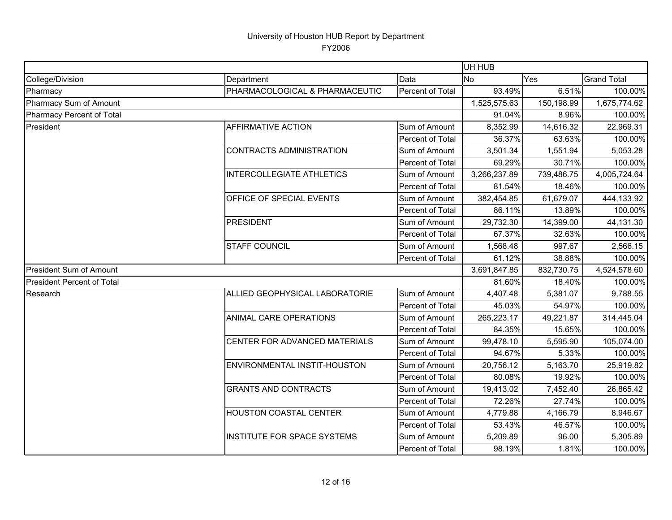|                                   |                                    |                         | UH HUB       |            |                    |
|-----------------------------------|------------------------------------|-------------------------|--------------|------------|--------------------|
| College/Division                  | Department                         | Data                    | <b>No</b>    | Yes        | <b>Grand Total</b> |
| Pharmacy                          | PHARMACOLOGICAL & PHARMACEUTIC     | Percent of Total        | 93.49%       | 6.51%      | 100.00%            |
| Pharmacy Sum of Amount            |                                    |                         | 1,525,575.63 | 150,198.99 | 1,675,774.62       |
| Pharmacy Percent of Total         |                                    |                         | 91.04%       | 8.96%      | 100.00%            |
| President                         | <b>AFFIRMATIVE ACTION</b>          | Sum of Amount           | 8,352.99     | 14,616.32  | 22,969.31          |
|                                   |                                    | Percent of Total        | 36.37%       | 63.63%     | 100.00%            |
|                                   | <b>CONTRACTS ADMINISTRATION</b>    | Sum of Amount           | 3,501.34     | 1,551.94   | 5,053.28           |
|                                   |                                    | Percent of Total        | 69.29%       | 30.71%     | 100.00%            |
|                                   | <b>INTERCOLLEGIATE ATHLETICS</b>   | Sum of Amount           | 3,266,237.89 | 739,486.75 | 4,005,724.64       |
|                                   |                                    | Percent of Total        | 81.54%       | 18.46%     | 100.00%            |
|                                   | OFFICE OF SPECIAL EVENTS           | Sum of Amount           | 382,454.85   | 61,679.07  | 444,133.92         |
|                                   |                                    | <b>Percent of Total</b> | 86.11%       | 13.89%     | 100.00%            |
|                                   | PRESIDENT                          | Sum of Amount           | 29,732.30    | 14,399.00  | 44,131.30          |
|                                   |                                    | Percent of Total        | 67.37%       | 32.63%     | 100.00%            |
|                                   | <b>STAFF COUNCIL</b>               | Sum of Amount           | 1,568.48     | 997.67     | 2,566.15           |
|                                   |                                    | Percent of Total        | 61.12%       | 38.88%     | 100.00%            |
| <b>President Sum of Amount</b>    |                                    |                         | 3,691,847.85 | 832,730.75 | 4,524,578.60       |
| <b>President Percent of Total</b> |                                    |                         | 81.60%       | 18.40%     | 100.00%            |
| Research                          | ALLIED GEOPHYSICAL LABORATORIE     | Sum of Amount           | 4,407.48     | 5,381.07   | 9,788.55           |
|                                   |                                    | Percent of Total        | 45.03%       | 54.97%     | 100.00%            |
|                                   | ANIMAL CARE OPERATIONS             | Sum of Amount           | 265,223.17   | 49,221.87  | 314,445.04         |
|                                   |                                    | Percent of Total        | 84.35%       | 15.65%     | 100.00%            |
|                                   | CENTER FOR ADVANCED MATERIALS      | Sum of Amount           | 99,478.10    | 5,595.90   | 105,074.00         |
|                                   |                                    | Percent of Total        | 94.67%       | 5.33%      | 100.00%            |
|                                   | ENVIRONMENTAL INSTIT-HOUSTON       | Sum of Amount           | 20,756.12    | 5,163.70   | 25,919.82          |
|                                   |                                    | Percent of Total        | 80.08%       | 19.92%     | 100.00%            |
|                                   | <b>GRANTS AND CONTRACTS</b>        | Sum of Amount           | 19,413.02    | 7,452.40   | 26,865.42          |
|                                   |                                    | Percent of Total        | 72.26%       | 27.74%     | 100.00%            |
|                                   | <b>HOUSTON COASTAL CENTER</b>      | Sum of Amount           | 4,779.88     | 4,166.79   | 8,946.67           |
|                                   |                                    | Percent of Total        | 53.43%       | 46.57%     | 100.00%            |
|                                   | <b>INSTITUTE FOR SPACE SYSTEMS</b> | Sum of Amount           | 5,209.89     | 96.00      | 5,305.89           |
|                                   |                                    | Percent of Total        | 98.19%       | 1.81%      | 100.00%            |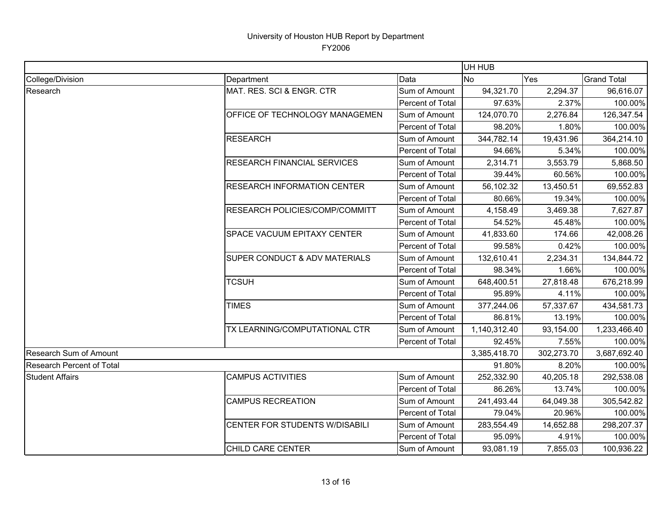|                           |                                    |                  | UH HUB       |            |                    |
|---------------------------|------------------------------------|------------------|--------------|------------|--------------------|
| College/Division          | Department                         | Data             | <b>No</b>    | Yes        | <b>Grand Total</b> |
| Research                  | MAT. RES. SCI & ENGR. CTR          | Sum of Amount    | 94,321.70    | 2,294.37   | 96,616.07          |
|                           |                                    | Percent of Total | 97.63%       | 2.37%      | 100.00%            |
|                           | OFFICE OF TECHNOLOGY MANAGEMEN     | Sum of Amount    | 124,070.70   | 2,276.84   | 126,347.54         |
|                           |                                    | Percent of Total | 98.20%       | 1.80%      | 100.00%            |
|                           | <b>RESEARCH</b>                    | Sum of Amount    | 344,782.14   | 19,431.96  | 364,214.10         |
|                           |                                    | Percent of Total | 94.66%       | 5.34%      | 100.00%            |
|                           | <b>RESEARCH FINANCIAL SERVICES</b> | Sum of Amount    | 2,314.71     | 3,553.79   | 5,868.50           |
|                           |                                    | Percent of Total | 39.44%       | 60.56%     | 100.00%            |
|                           | <b>RESEARCH INFORMATION CENTER</b> | Sum of Amount    | 56,102.32    | 13,450.51  | 69,552.83          |
|                           |                                    | Percent of Total | 80.66%       | 19.34%     | 100.00%            |
|                           | RESEARCH POLICIES/COMP/COMMITT     | Sum of Amount    | 4,158.49     | 3,469.38   | 7,627.87           |
|                           |                                    | Percent of Total | 54.52%       | 45.48%     | 100.00%            |
|                           | SPACE VACUUM EPITAXY CENTER        | Sum of Amount    | 41,833.60    | 174.66     | 42,008.26          |
|                           |                                    | Percent of Total | 99.58%       | 0.42%      | 100.00%            |
|                           | SUPER CONDUCT & ADV MATERIALS      | Sum of Amount    | 132,610.41   | 2,234.31   | 134,844.72         |
|                           |                                    | Percent of Total | 98.34%       | 1.66%      | 100.00%            |
|                           | <b>TCSUH</b>                       | Sum of Amount    | 648,400.51   | 27,818.48  | 676,218.99         |
|                           |                                    | Percent of Total | 95.89%       | 4.11%      | 100.00%            |
|                           | <b>TIMES</b>                       | Sum of Amount    | 377,244.06   | 57,337.67  | 434,581.73         |
|                           |                                    | Percent of Total | 86.81%       | 13.19%     | 100.00%            |
|                           | TX LEARNING/COMPUTATIONAL CTR      | Sum of Amount    | 1,140,312.40 | 93,154.00  | 1,233,466.40       |
|                           |                                    | Percent of Total | 92.45%       | 7.55%      | 100.00%            |
| Research Sum of Amount    |                                    |                  | 3,385,418.70 | 302,273.70 | 3,687,692.40       |
| Research Percent of Total |                                    |                  | 91.80%       | 8.20%      | 100.00%            |
| <b>Student Affairs</b>    | <b>CAMPUS ACTIVITIES</b>           | Sum of Amount    | 252,332.90   | 40,205.18  | 292,538.08         |
|                           |                                    | Percent of Total | 86.26%       | 13.74%     | 100.00%            |
|                           | <b>CAMPUS RECREATION</b>           | Sum of Amount    | 241,493.44   | 64,049.38  | 305,542.82         |
|                           |                                    | Percent of Total | 79.04%       | 20.96%     | 100.00%            |
|                           | CENTER FOR STUDENTS W/DISABILI     | Sum of Amount    | 283,554.49   | 14,652.88  | 298,207.37         |
|                           |                                    | Percent of Total | 95.09%       | 4.91%      | 100.00%            |
|                           | <b>CHILD CARE CENTER</b>           | Sum of Amount    | 93,081.19    | 7,855.03   | 100,936.22         |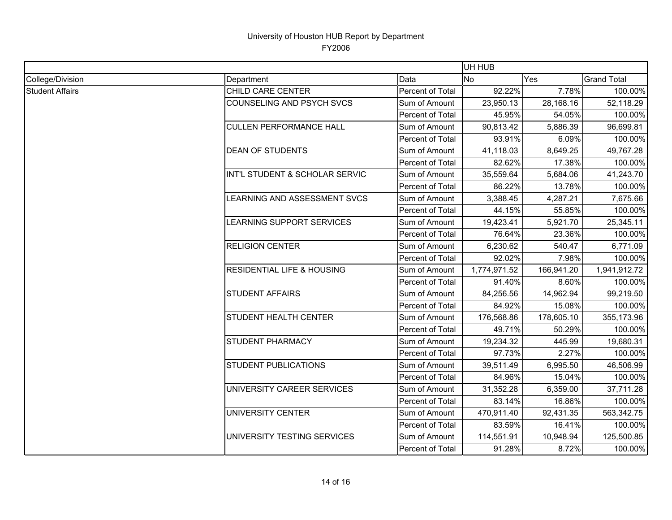|                        |                                       |                  |                | UH HUB     |                    |  |  |
|------------------------|---------------------------------------|------------------|----------------|------------|--------------------|--|--|
| College/Division       | Department                            | Data             | N <sub>o</sub> | Yes        | <b>Grand Total</b> |  |  |
| <b>Student Affairs</b> | CHILD CARE CENTER                     | Percent of Total | 92.22%         | 7.78%      | 100.00%            |  |  |
|                        | <b>COUNSELING AND PSYCH SVCS</b>      | Sum of Amount    | 23,950.13      | 28,168.16  | 52,118.29          |  |  |
|                        |                                       | Percent of Total | 45.95%         | 54.05%     | 100.00%            |  |  |
|                        | <b>CULLEN PERFORMANCE HALL</b>        | Sum of Amount    | 90,813.42      | 5,886.39   | 96,699.81          |  |  |
|                        |                                       | Percent of Total | 93.91%         | 6.09%      | 100.00%            |  |  |
|                        | <b>DEAN OF STUDENTS</b>               | Sum of Amount    | 41,118.03      | 8,649.25   | 49,767.28          |  |  |
|                        |                                       | Percent of Total | 82.62%         | 17.38%     | 100.00%            |  |  |
|                        | INT'L STUDENT & SCHOLAR SERVIC        | Sum of Amount    | 35,559.64      | 5,684.06   | 41,243.70          |  |  |
|                        |                                       | Percent of Total | 86.22%         | 13.78%     | 100.00%            |  |  |
|                        | LEARNING AND ASSESSMENT SVCS          | Sum of Amount    | 3,388.45       | 4,287.21   | 7,675.66           |  |  |
|                        |                                       | Percent of Total | 44.15%         | 55.85%     | 100.00%            |  |  |
|                        | LEARNING SUPPORT SERVICES             | Sum of Amount    | 19,423.41      | 5,921.70   | 25,345.11          |  |  |
|                        |                                       | Percent of Total | 76.64%         | 23.36%     | 100.00%            |  |  |
|                        | <b>RELIGION CENTER</b>                | Sum of Amount    | 6,230.62       | 540.47     | 6,771.09           |  |  |
|                        |                                       | Percent of Total | 92.02%         | 7.98%      | 100.00%            |  |  |
|                        | <b>RESIDENTIAL LIFE &amp; HOUSING</b> | Sum of Amount    | 1,774,971.52   | 166,941.20 | 1,941,912.72       |  |  |
|                        |                                       | Percent of Total | 91.40%         | 8.60%      | 100.00%            |  |  |
|                        | <b>STUDENT AFFAIRS</b>                | Sum of Amount    | 84,256.56      | 14,962.94  | 99,219.50          |  |  |
|                        |                                       | Percent of Total | 84.92%         | 15.08%     | 100.00%            |  |  |
|                        | <b>STUDENT HEALTH CENTER</b>          | Sum of Amount    | 176,568.86     | 178,605.10 | 355,173.96         |  |  |
|                        |                                       | Percent of Total | 49.71%         | 50.29%     | 100.00%            |  |  |
|                        | <b>STUDENT PHARMACY</b>               | Sum of Amount    | 19,234.32      | 445.99     | 19,680.31          |  |  |
|                        |                                       | Percent of Total | 97.73%         | 2.27%      | 100.00%            |  |  |
|                        | <b>STUDENT PUBLICATIONS</b>           | Sum of Amount    | 39,511.49      | 6,995.50   | 46,506.99          |  |  |
|                        |                                       | Percent of Total | 84.96%         | 15.04%     | 100.00%            |  |  |
|                        | UNIVERSITY CAREER SERVICES            | Sum of Amount    | 31,352.28      | 6,359.00   | 37,711.28          |  |  |
|                        |                                       | Percent of Total | 83.14%         | 16.86%     | 100.00%            |  |  |
|                        | UNIVERSITY CENTER                     | Sum of Amount    | 470,911.40     | 92,431.35  | 563,342.75         |  |  |
|                        |                                       | Percent of Total | 83.59%         | 16.41%     | 100.00%            |  |  |
|                        | UNIVERSITY TESTING SERVICES           | Sum of Amount    | 114,551.91     | 10,948.94  | 125,500.85         |  |  |
|                        |                                       | Percent of Total | 91.28%         | 8.72%      | 100.00%            |  |  |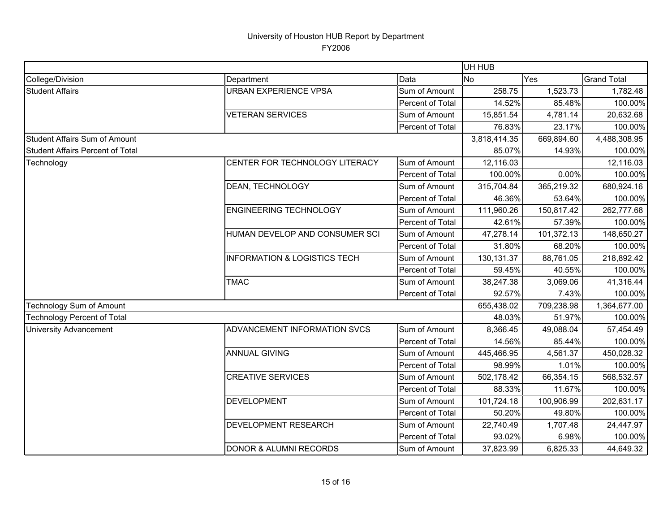|                                         |                                         |                  | UH HUB           |            |                    |
|-----------------------------------------|-----------------------------------------|------------------|------------------|------------|--------------------|
| College/Division                        | Department                              | Data             | <b>No</b><br>Yes |            | <b>Grand Total</b> |
| <b>Student Affairs</b>                  | <b>URBAN EXPERIENCE VPSA</b>            | Sum of Amount    | 258.75           | 1,523.73   | 1,782.48           |
|                                         |                                         | Percent of Total | 14.52%           | 85.48%     | 100.00%            |
|                                         | <b>VETERAN SERVICES</b>                 | Sum of Amount    | 15,851.54        | 4,781.14   | 20,632.68          |
|                                         |                                         | Percent of Total | 76.83%           | 23.17%     | 100.00%            |
| <b>Student Affairs Sum of Amount</b>    |                                         |                  | 3,818,414.35     | 669,894.60 | 4,488,308.95       |
| <b>Student Affairs Percent of Total</b> |                                         |                  | 85.07%           | 14.93%     | 100.00%            |
| Technology                              | CENTER FOR TECHNOLOGY LITERACY          | Sum of Amount    | 12,116.03        |            | 12,116.03          |
|                                         |                                         | Percent of Total | 100.00%          | 0.00%      | 100.00%            |
|                                         | DEAN, TECHNOLOGY                        | Sum of Amount    | 315,704.84       | 365,219.32 | 680,924.16         |
|                                         |                                         | Percent of Total | 46.36%           | 53.64%     | 100.00%            |
|                                         | <b>ENGINEERING TECHNOLOGY</b>           | Sum of Amount    | 111,960.26       | 150,817.42 | 262,777.68         |
|                                         |                                         | Percent of Total | 42.61%           | 57.39%     | 100.00%            |
|                                         | HUMAN DEVELOP AND CONSUMER SCI          | Sum of Amount    | 47,278.14        | 101,372.13 | 148,650.27         |
|                                         |                                         | Percent of Total | 31.80%           | 68.20%     | 100.00%            |
|                                         | <b>INFORMATION &amp; LOGISTICS TECH</b> | Sum of Amount    | 130,131.37       | 88,761.05  | 218,892.42         |
|                                         |                                         | Percent of Total | 59.45%           | 40.55%     | 100.00%            |
|                                         | <b>TMAC</b>                             | Sum of Amount    | 38,247.38        | 3,069.06   | 41,316.44          |
|                                         |                                         | Percent of Total | 92.57%           | 7.43%      | 100.00%            |
| <b>Technology Sum of Amount</b>         |                                         |                  | 655,438.02       | 709,238.98 | 1,364,677.00       |
| <b>Technology Percent of Total</b>      |                                         |                  | 48.03%           | 51.97%     | 100.00%            |
| <b>University Advancement</b>           | ADVANCEMENT INFORMATION SVCS            | Sum of Amount    | 8,366.45         | 49,088.04  | 57,454.49          |
|                                         |                                         | Percent of Total | 14.56%           | 85.44%     | 100.00%            |
|                                         | <b>ANNUAL GIVING</b>                    | Sum of Amount    | 445,466.95       | 4,561.37   | 450,028.32         |
|                                         |                                         | Percent of Total | 98.99%           | 1.01%      | 100.00%            |
|                                         | <b>CREATIVE SERVICES</b>                | Sum of Amount    | 502,178.42       | 66,354.15  | 568,532.57         |
|                                         |                                         | Percent of Total | 88.33%           | 11.67%     | 100.00%            |
|                                         | <b>DEVELOPMENT</b>                      | Sum of Amount    | 101,724.18       | 100,906.99 | 202,631.17         |
|                                         |                                         | Percent of Total | 50.20%           | 49.80%     | 100.00%            |
|                                         | DEVELOPMENT RESEARCH                    | Sum of Amount    | 22,740.49        | 1,707.48   | 24,447.97          |
|                                         |                                         | Percent of Total | 93.02%           | 6.98%      | 100.00%            |
|                                         | <b>DONOR &amp; ALUMNI RECORDS</b>       | Sum of Amount    | 37,823.99        | 6,825.33   | 44,649.32          |